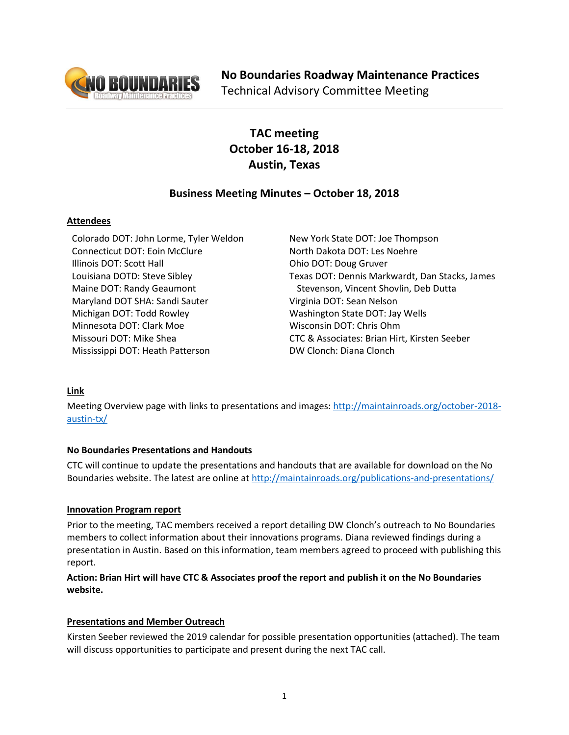

# **TAC meeting October 16-18, 2018 Austin, Texas**

## **Business Meeting Minutes – October 18, 2018**

## **Attendees**

Colorado DOT: John Lorme, Tyler Weldon Connecticut DOT: Eoin McClure Illinois DOT: Scott Hall Louisiana DOTD: Steve Sibley Maine DOT: Randy Geaumont Maryland DOT SHA: Sandi Sauter Michigan DOT: Todd Rowley Minnesota DOT: Clark Moe Missouri DOT: Mike Shea Mississippi DOT: Heath Patterson

New York State DOT: Joe Thompson North Dakota DOT: Les Noehre Ohio DOT: Doug Gruver Texas DOT: Dennis Markwardt, Dan Stacks, James Stevenson, Vincent Shovlin, Deb Dutta Virginia DOT: Sean Nelson Washington State DOT: Jay Wells Wisconsin DOT: Chris Ohm CTC & Associates: Brian Hirt, Kirsten Seeber DW Clonch: Diana Clonch

## **Link**

Meeting Overview page with links to presentations and images: [http://maintainroads.org/october-2018](http://maintainroads.org/october-2018-austin-tx/) [austin-tx/](http://maintainroads.org/october-2018-austin-tx/)

## **No Boundaries Presentations and Handouts**

CTC will continue to update the presentations and handouts that are available for download on the No Boundaries website. The latest are online at<http://maintainroads.org/publications-and-presentations/>

## **Innovation Program report**

Prior to the meeting, TAC members received a report detailing DW Clonch's outreach to No Boundaries members to collect information about their innovations programs. Diana reviewed findings during a presentation in Austin. Based on this information, team members agreed to proceed with publishing this report.

## **Action: Brian Hirt will have CTC & Associates proof the report and publish it on the No Boundaries website.**

## **Presentations and Member Outreach**

Kirsten Seeber reviewed the 2019 calendar for possible presentation opportunities (attached). The team will discuss opportunities to participate and present during the next TAC call.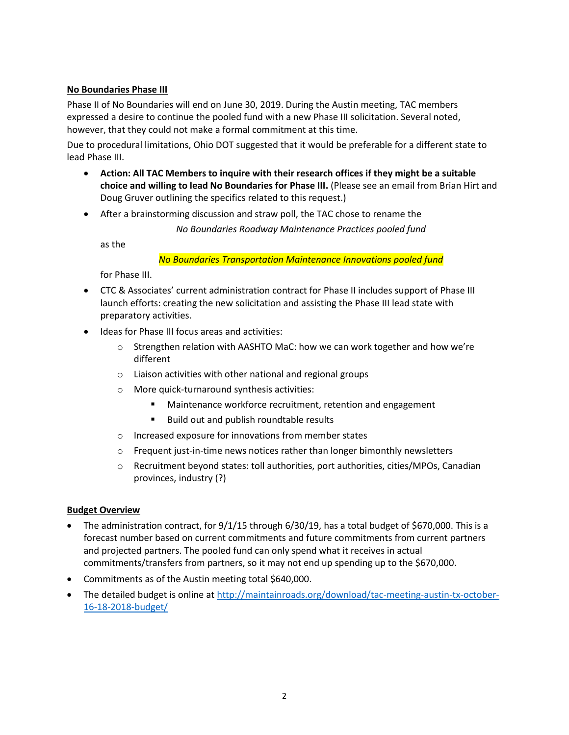#### **No Boundaries Phase III**

Phase II of No Boundaries will end on June 30, 2019. During the Austin meeting, TAC members expressed a desire to continue the pooled fund with a new Phase III solicitation. Several noted, however, that they could not make a formal commitment at this time.

Due to procedural limitations, Ohio DOT suggested that it would be preferable for a different state to lead Phase III.

- **Action: All TAC Members to inquire with their research offices if they might be a suitable choice and willing to lead No Boundaries for Phase III.** (Please see an email from Brian Hirt and Doug Gruver outlining the specifics related to this request.)
- After a brainstorming discussion and straw poll, the TAC chose to rename the

*No Boundaries Roadway Maintenance Practices pooled fund*

as the

*No Boundaries Transportation Maintenance Innovations pooled fund*

for Phase III.

- CTC & Associates' current administration contract for Phase II includes support of Phase III launch efforts: creating the new solicitation and assisting the Phase III lead state with preparatory activities.
- Ideas for Phase III focus areas and activities:
	- o Strengthen relation with AASHTO MaC: how we can work together and how we're different
	- o Liaison activities with other national and regional groups
	- o More quick-turnaround synthesis activities:
		- Maintenance workforce recruitment, retention and engagement
		- Build out and publish roundtable results
	- o Increased exposure for innovations from member states
	- $\circ$  Frequent just-in-time news notices rather than longer bimonthly newsletters
	- o Recruitment beyond states: toll authorities, port authorities, cities/MPOs, Canadian provinces, industry (?)

#### **Budget Overview**

- The administration contract, for 9/1/15 through 6/30/19, has a total budget of \$670,000. This is a forecast number based on current commitments and future commitments from current partners and projected partners. The pooled fund can only spend what it receives in actual commitments/transfers from partners, so it may not end up spending up to the \$670,000.
- Commitments as of the Austin meeting total \$640,000.
- The detailed budget is online at [http://maintainroads.org/download/tac-meeting-austin-tx-october-](http://maintainroads.org/download/tac-meeting-austin-tx-october-16-18-2018-budget/)[16-18-2018-budget/](http://maintainroads.org/download/tac-meeting-austin-tx-october-16-18-2018-budget/)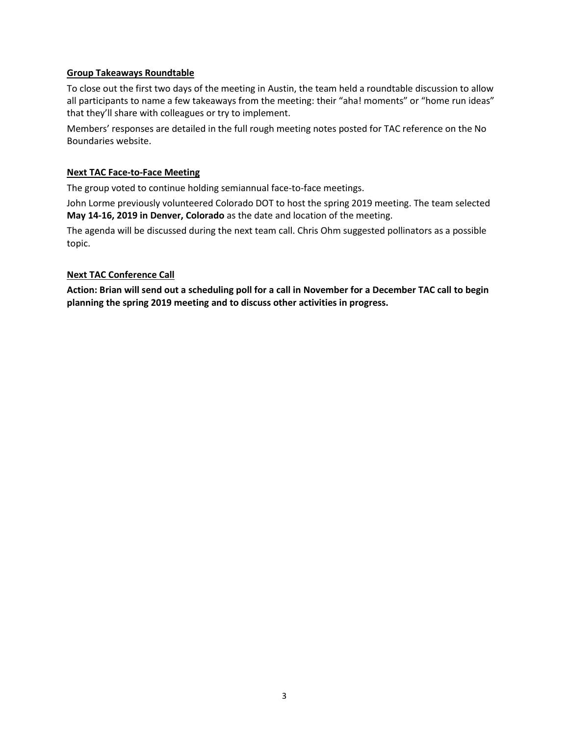#### **Group Takeaways Roundtable**

To close out the first two days of the meeting in Austin, the team held a roundtable discussion to allow all participants to name a few takeaways from the meeting: their "aha! moments" or "home run ideas" that they'll share with colleagues or try to implement.

Members' responses are detailed in the full rough meeting notes posted for TAC reference on the No Boundaries website.

#### **Next TAC Face-to-Face Meeting**

The group voted to continue holding semiannual face-to-face meetings.

John Lorme previously volunteered Colorado DOT to host the spring 2019 meeting. The team selected **May 14-16, 2019 in Denver, Colorado** as the date and location of the meeting.

The agenda will be discussed during the next team call. Chris Ohm suggested pollinators as a possible topic.

#### **Next TAC Conference Call**

**Action: Brian will send out a scheduling poll for a call in November for a December TAC call to begin planning the spring 2019 meeting and to discuss other activities in progress.**